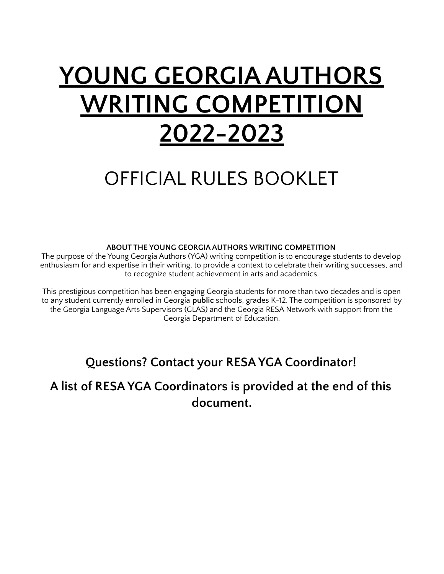# **YOUNG GEORGIA AUTHORS WRITING COMPETITION 2022-2023**

## OFFICIAL RULES BOOKLET

#### **ABOUT THE YOUNG GEORGIA AUTHORS WRITING COMPETITION**

The purpose of the Young Georgia Authors (YGA) writing competition is to encourage students to develop enthusiasm for and expertise in their writing, to provide a context to celebrate their writing successes, and to recognize student achievement in arts and academics.

This prestigious competition has been engaging Georgia students for more than two decades and is open to any student currently enrolled in Georgia **public** schools, grades K-12. The competition is sponsored by the Georgia Language Arts Supervisors (GLAS) and the Georgia RESA Network with support from the Georgia Department of Education.

## **Questions? Contact your RESA YGA Coordinator!**

**A list of RESA YGA Coordinators is provided at the end of this document.**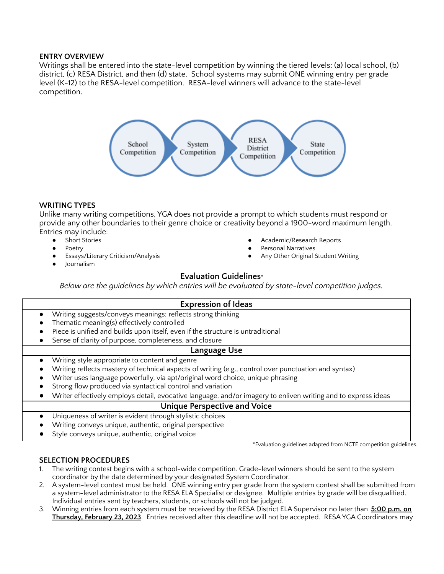#### **ENTRY OVERVIEW**

Writings shall be entered into the state-level competition by winning the tiered levels: (a) local school, (b) district, (c) RESA District, and then (d) state. School systems may submit ONE winning entry per grade level (K-12) to the RESA-level competition. RESA-level winners will advance to the state-level competition.



#### **WRITING TYPES**

Unlike many writing competitions, YGA does not provide a prompt to which students must respond or provide any other boundaries to their genre choice or creativity beyond a 1900-word maximum length. Entries may include:

- Short Stories
- **Poetry**
- Essays/Literary Criticism/Analysis
- **Journalism**

#### Academic/Research Reports

- Personal Narratives
- Any Other Original Student Writing

#### **Evaluation Guidelines\***

*Below are the guidelines by which entries will be evaluated by state-level competition judges.*

#### **Expression of Ideas**

- Writing suggests/conveys meanings; reflects strong thinking
- Thematic meaning(s) effectively controlled
- Piece is unified and builds upon itself, even if the structure is untraditional
- Sense of clarity of purpose, completeness, and closure

#### **Language Use**

- Writing style appropriate to content and genre
- Writing reflects mastery of technical aspects of writing (e.g., control over punctuation and syntax)
- Writer uses language powerfully, via apt/original word choice, unique phrasing
- Strong flow produced via syntactical control and variation
- Writer effectively employs detail, evocative language, and/or imagery to enliven writing and to express ideas

#### **Unique Perspective and Voice**

- Uniqueness of writer is evident through stylistic choices
- Writing conveys unique, authentic, original perspective
- Style conveys unique, authentic, original voice

\*Evaluation guidelines adapted from NCTE competition guidelines.

#### **SELECTION PROCEDURES**

- 1. The writing contest begins with a school-wide competition. Grade-level winners should be sent to the system coordinator by the date determined by your designated System Coordinator.
- 2. A system-level contest must be held. ONE winning entry per grade from the system contest shall be submitted from a system-level administrator to the RESA ELA Specialist or designee. Multiple entries by grade will be disqualified. Individual entries sent by teachers, students, or schools will not be judged.
- 3. Winning entries from each system must be received by the RESA District ELA Supervisor no later than **5:00 p.m. on Thursday, February 23, 2023**. Entries received after this deadline will not be accepted. RESA YGA Coordinators may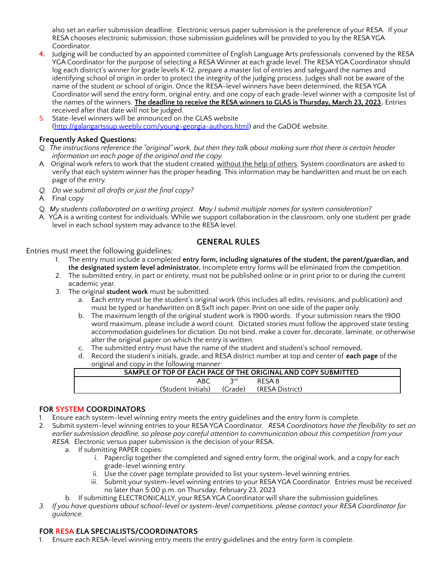also set an earlier submission deadline. Electronic versus paper submission is the preference of your RESA. If your RESA chooses electronic submission, those submission guidelines will be provided to you by the RESA YGA Coordinator.

- **4.** Judging will be conducted by an appointed committee of English Language Arts professionals convened by the RESA YGA Coordinator for the purpose of selecting a RESAWinner at each grade level. The RESA YGA Coordinator should log each district's winner for grade levels K-12, prepare a master list of entries and safeguard the names and identifying school of origin in order to protect the integrity of the judging process. Judges shall not be aware of the name of the student or school of origin. Once the RESA-level winners have been determined, the RESA YGA Coordinator will send the entry form, original entry, and one copy of each grade-level winner with a composite list of the names of the winners. **The deadline to receive the RESA winners to GLAS is Thursday, March 23, 2023.** Entries received after that date will not be judged.
- 5. State-level winners will be announced on the GLAS website [\(http://galangartssup.weebly.com/young-georgia-authors.html](http://galangartssup.weebly.com/young-georgia-authors.html)) and the GaDOE website.

#### **Frequently Asked Questions:**

- Q. The instructions reference the "original" work, but then they talk about making sure that there is certain header *information on each page of the original and the copy.*
- A. Original work refers to work that the student created without the help of others. System coordinators are asked to verify that each system winner has the proper heading. This information may be handwritten and must be on each page of the entry.
- *Q. Do we submit all drafts or just the final copy?*
- A. Final copy
- Q. *My students collaborated on a writing project. May I submit multiple names for system consideration?*
- A. YGA is a writing contest for individuals. While we support collaboration in the classroom, only one student per grade level in each school system may advance to the RESA level.

#### **GENERAL RULES**

#### Entries must meet the following guidelines:

- 1. The entry must include a completed **entry form, including signatures of the student, the parent/guardian, and the designated system level administrator.** Incomplete entry forms will be eliminated from the competition.
- 2. The submitted entry, in part or entirety, must not be published online or in print prior to or during the current academic year.
- 3. The original **student work** must be submitted.
	- a. Each entry must be the student's original work (this includes all edits, revisions, and publication) and must be typed or handwritten on 8.5x11 inch paper. Print on one side of the paper only.
	- b. The maximum length of the original student work is 1900 words. If your submission nears the 1900 word maximum, please include a word count. Dictated stories must follow the approved state testing accommodation guidelines for dictation. Do not bind, make a cover for, decorate, laminate, or otherwise alter the original paper on which the entry is written.
	- c. The submitted entry must have the name of the student and student's school removed**.**
	- d. Record the student's initials, grade, and RESA district number at top and center of **each page** of the original and copy in the following manner:

| SAMPLE OF TOP OF EACH PACE OF THE ORIGINAL AND COPY SUBMITTED |            |                 |  |  |
|---------------------------------------------------------------|------------|-----------------|--|--|
| ABC                                                           | <b>prd</b> | RESA 8          |  |  |
| (Student Initials)                                            | (Grade)    | (RESA District) |  |  |

#### **FOR SYSTEM COORDINATORS**

- 1. Ensure each system-level winning entry meets the entry guidelines and the entry form is complete.
- 2. Submit system-level winning entries to your RESA YGA Coordinator. *RESA Coordinators have the flexibility to set an earlier submission deadline, so please pay careful attention to communication about this competition from your RESA.* Electronic versus paper submission is the decision of your RESA.
	- a. If submitting PAPER copies:
		- i. Paperclip together the completed and signed entry form, the original work, and a copy for each grade-level winning entry.
		- ii. Use the cover page template provided to list your system-level winning entries.
		- iii. Submit your system-level winning entries to your RESA YGA Coordinator. Entries must be received no later than 5:00 p.m. on Thursday, February 23, 2023
	- b. If submitting ELECTRONICALLY, your RESA YGA Coordinator will share the submission guidelines.
- 3. If you have questions about school-level or system-level competitions, please contact your RESA Coordinator for *guidance.*

#### **FOR RESA ELA SPECIALISTS/COORDINATORS**

1. Ensure each RESA-level winning entry meets the entry guidelines and the entry form is complete.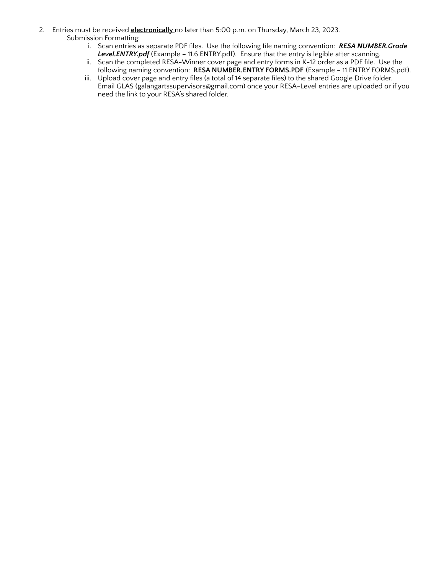- 2. Entries must be received **electronically** no later than 5:00 p.m. on Thursday, March 23, 2023. Submission Formatting:
	- i. Scan entries as separate PDF files. Use the following file naming convention: *RESA NUMBER.Grade Level.ENTRY.pdf* (Example – 11.6.ENTRY.pdf). Ensure that the entry is legible after scanning.
	- ii. Scan the completed RESA-Winner cover page and entry forms in K-12 order as a PDF file. Use the following naming convention: **RESA NUMBER.ENTRY FORMS.PDF** (Example – 11.ENTRY FORMS.pdf).
	- iii. Upload cover page and entry files (a total of 14 separate files) to the shared Google Drive folder. Email GLAS (galangartssupervisors@gmail.com) once your RESA-Level entries are uploaded or if you need the link to your RESA's shared folder.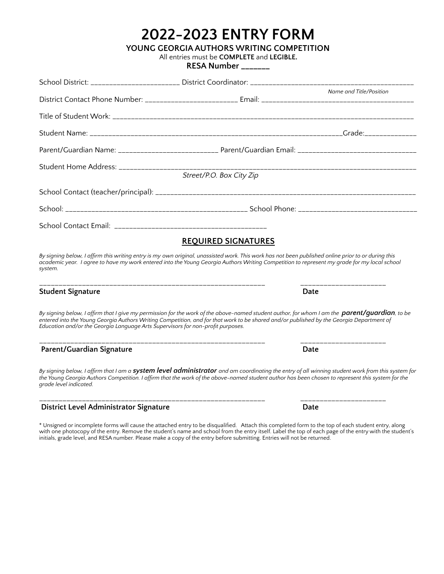|  | <b>2022-2023 ENTRY FORM</b> |
|--|-----------------------------|
|--|-----------------------------|

**YOUNG GEORGIA AUTHORS WRITING COMPETITION**

All entries must be **COMPLETE** and **LEGIBLE.**

**RESA Number \_\_\_\_\_\_\_**

|                                                                                 | School District: _____________________ District Coordinator: __________________________                                                                                                                                                                                                                     |                         |
|---------------------------------------------------------------------------------|-------------------------------------------------------------------------------------------------------------------------------------------------------------------------------------------------------------------------------------------------------------------------------------------------------------|-------------------------|
|                                                                                 |                                                                                                                                                                                                                                                                                                             | Name and Title/Position |
|                                                                                 |                                                                                                                                                                                                                                                                                                             |                         |
|                                                                                 |                                                                                                                                                                                                                                                                                                             |                         |
|                                                                                 | Parent/Guardian Name: ______________________________ Parent/Guardian Email: __________________________________                                                                                                                                                                                              |                         |
|                                                                                 | Street/P.O. Box City Zip                                                                                                                                                                                                                                                                                    |                         |
|                                                                                 |                                                                                                                                                                                                                                                                                                             |                         |
|                                                                                 |                                                                                                                                                                                                                                                                                                             |                         |
|                                                                                 |                                                                                                                                                                                                                                                                                                             |                         |
|                                                                                 | <b>REQUIRED SIGNATURES</b>                                                                                                                                                                                                                                                                                  |                         |
| system.                                                                         | By signing below, I affirm this writing entry is my own original, unassisted work. This work has not been published online prior to or during this<br>academic year. I agree to have my work entered into the Young Georgia Authors Writing Competition to represent my grade for my local school           |                         |
| <b>Student Signature</b>                                                        |                                                                                                                                                                                                                                                                                                             | Date                    |
| Education and/or the Georgia Language Arts Supervisors for non-profit purposes. | By signing below, I affirm that I give my permission for the work of the above-named student author, for whom I am the <b>parent/quardian</b> , to be<br>entered into the Young Georgia Authors Writing Competition, and for that work to be shared and/or published by the Georgia Department of           |                         |
| Parent/Guardian Signature                                                       | _________________________________                                                                                                                                                                                                                                                                           | Date                    |
| grade level indicated.                                                          | By signing below, I affirm that I am a <b>system level administrator</b> and am coordinating the entry of all winning student work from this system for<br>the Young Georgia Authors Competition. I affirm that the work of the above-named student author has been chosen to represent this system for the |                         |
| District Level Administrator Signature                                          |                                                                                                                                                                                                                                                                                                             | Date                    |

\* Unsigned or incomplete forms will cause the attached entry to be disqualified. Attach this completed form to the top of each student entry, along with one photocopy of the entry. Remove the student's name and school from the entry itself. Label the top of each page of the entry with the student's initials, grade level, and RESA number. Please make a copy of the entry before submitting. Entries will not be returned.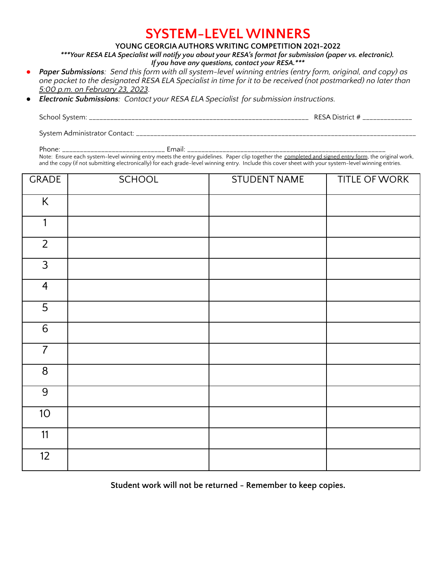### **SYSTEM-LEVEL WINNERS**

#### **YOUNG GEORGIA AUTHORS WRITING COMPETITION 2021-2022**

*\*\*\*Your RESA ELA Specialist will notify you about your RESA's format for submission (paper vs. electronic).*

| If you have any questions, contact your RESA.*** |  |  |
|--------------------------------------------------|--|--|
|--------------------------------------------------|--|--|

- Paper Submissions: Send this form with all system-level winning entries (entry form, original, and copy) as one packet to the designated RESA ELA Specialist in time for it to be received (not postmarked) no later than *5:00 p.m. on February 23, 2023.*
- *● Electronic Submissions: Contact your RESA ELA Specialist for submission instructions.*

| - 1<br>School<br>I SVSLEITL<br>_______ | ່∴∟ລ⊶ີ<br>51.ILI<br><br>____<br>_____ |
|----------------------------------------|---------------------------------------|
|                                        |                                       |

System Administrator Contact: \_\_\_\_\_\_

Phone: \_\_\_\_\_\_\_\_\_\_\_\_\_\_\_\_\_\_\_\_\_\_\_\_\_\_\_\_\_ Email: \_\_\_\_\_\_\_\_\_\_\_\_\_\_\_\_\_\_\_\_\_\_\_\_\_\_\_\_\_\_\_\_\_\_\_\_\_\_\_\_\_\_\_\_\_\_\_\_\_\_\_\_\_\_\_\_

Note: Ensure each system-level winning entry meets the entry guidelines. Paper clip together the <u>completed and signed entry form,</u> the original work, and the copy (if not submitting electronically) for each grade-level winning entry. Include this cover sheet with your system-level winning entries.

| <b>GRADE</b>   | <b>SCHOOL</b> | <b>STUDENT NAME</b> | TITLE OF WORK |
|----------------|---------------|---------------------|---------------|
| $\sf K$        |               |                     |               |
| 1              |               |                     |               |
| $\overline{2}$ |               |                     |               |
| $\mathfrak{Z}$ |               |                     |               |
| $\overline{4}$ |               |                     |               |
| $\overline{5}$ |               |                     |               |
| $\sqrt{6}$     |               |                     |               |
| $\overline{7}$ |               |                     |               |
| 8              |               |                     |               |
| $\overline{9}$ |               |                     |               |
| 10             |               |                     |               |
| 11             |               |                     |               |
| 12             |               |                     |               |

**Student work will not be returned - Remember to keep copies.**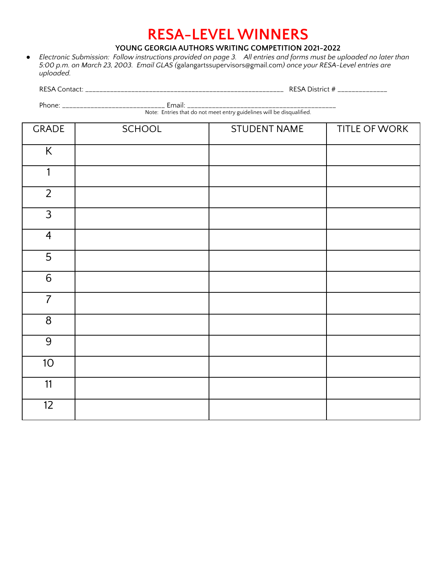## **RESA-LEVEL WINNERS**

#### **YOUNG GEORGIA AUTHORS WRITING COMPETITION 2021-2022**

• Electronic Submission: Follow instructions provided on page 3. All entries and forms must be uploaded no later than *5:00 p.m. on March 23, 2003. Email GLAS (*galangartssupervisors@gmail.com*) once your RESA-Level entries are uploaded.*

RESA Contact: \_\_\_\_\_\_\_\_\_\_\_\_\_\_\_\_\_\_\_\_\_\_\_\_\_\_\_\_\_\_\_\_\_\_\_\_\_\_\_\_\_\_\_\_\_\_\_\_\_\_\_\_\_\_\_\_ RESA District # \_\_\_\_\_\_\_\_\_\_\_\_\_\_

Phone: \_\_\_\_\_\_\_\_\_\_\_\_\_\_\_\_\_\_\_\_\_\_\_\_\_\_\_\_\_ Email: \_\_\_\_\_\_\_\_\_\_\_\_\_\_\_\_\_\_\_\_\_\_\_\_\_\_\_\_\_\_\_\_\_\_\_\_\_\_\_\_\_\_

Note: Entries that do not meet entry guidelines will be disqualified.

| <b>GRADE</b>    | SCHOOL | <b>STUDENT NAME</b> | TITLE OF WORK |
|-----------------|--------|---------------------|---------------|
| K               |        |                     |               |
| 1               |        |                     |               |
| $\overline{2}$  |        |                     |               |
| $\mathfrak{Z}$  |        |                     |               |
| $\overline{4}$  |        |                     |               |
| $\overline{5}$  |        |                     |               |
| $\sqrt{6}$      |        |                     |               |
| $\overline{7}$  |        |                     |               |
| $\overline{8}$  |        |                     |               |
| $\overline{9}$  |        |                     |               |
| 10 <sup>°</sup> |        |                     |               |
| 11              |        |                     |               |
| 12              |        |                     |               |